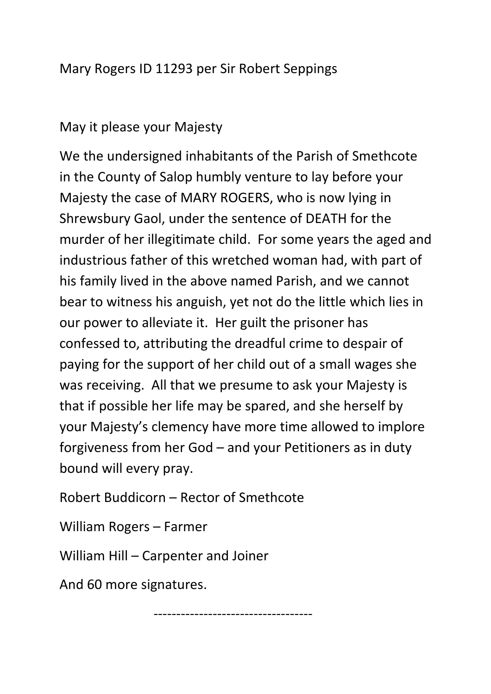## Mary Rogers ID 11293 per Sir Robert Seppings

## May it please your Majesty

We the undersigned inhabitants of the Parish of Smethcote in the County of Salop humbly venture to lay before your Majesty the case of MARY ROGERS, who is now lying in Shrewsbury Gaol, under the sentence of DEATH for the murder of her illegitimate child. For some years the aged and industrious father of this wretched woman had, with part of his family lived in the above named Parish, and we cannot bear to witness his anguish, yet not do the little which lies in our power to alleviate it. Her guilt the prisoner has confessed to, attributing the dreadful crime to despair of paying for the support of her child out of a small wages she was receiving. All that we presume to ask your Majesty is that if possible her life may be spared, and she herself by your Majesty's clemency have more time allowed to implore forgiveness from her God – and your Petitioners as in duty bound will every pray.

Robert Buddicorn – Rector of Smethcote

William Rogers – Farmer

William Hill – Carpenter and Joiner

And 60 more signatures.

-----------------------------------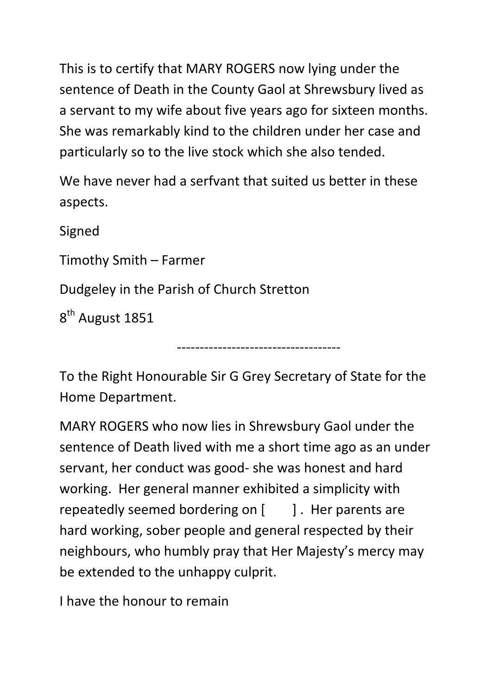This is to certify that MARY ROGERS now lying under the sentence of Death in the County Gaol at Shrewsbury lived as a servant to my wife about five years ago for sixteen months. She was remarkably kind to the children under her case and particularly so to the live stock which she also tended.

We have never had a serfvant that suited us better in these aspects.

Signed Timothy Smith – Farmer Dudgeley in the Parish of Church Stretton

8<sup>th</sup> August 1851

To the Right Honourable Sir G Grey Secretary of State for the Home Department.

------------------------------------

MARY ROGERS who now lies in Shrewsbury Gaol under the sentence of Death lived with me a short time ago as an under servant, her conduct was good- she was honest and hard working. Her general manner exhibited a simplicity with repeatedly seemed bordering on  $\left[ \begin{array}{cc} | \\ | \end{array} \right]$ . Her parents are hard working, sober people and general respected by their neighbours, who humbly pray that Her Majesty's mercy may be extended to the unhappy culprit.

I have the honour to remain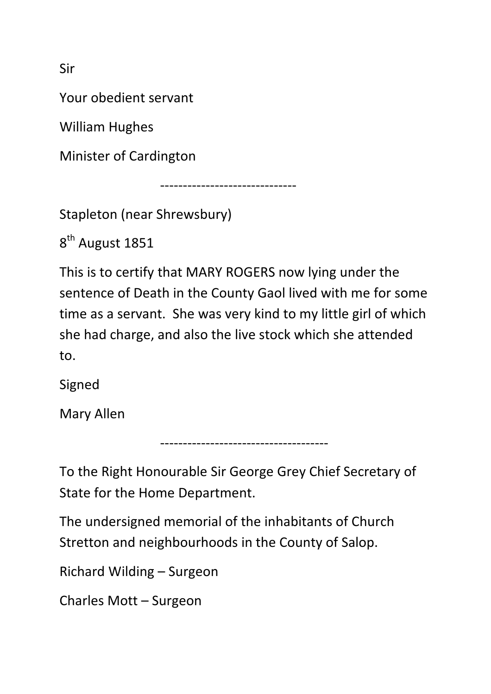Sir

Your obedient servant

William Hughes

Minister of Cardington

------------------------------

Stapleton (near Shrewsbury)

8<sup>th</sup> August 1851

This is to certify that MARY ROGERS now lying under the sentence of Death in the County Gaol lived with me for some time as a servant. She was very kind to my little girl of which she had charge, and also the live stock which she attended to.

Signed

Mary Allen

To the Right Honourable Sir George Grey Chief Secretary of State for the Home Department.

-------------------------------------

The undersigned memorial of the inhabitants of Church Stretton and neighbourhoods in the County of Salop.

Richard Wilding – Surgeon

Charles Mott – Surgeon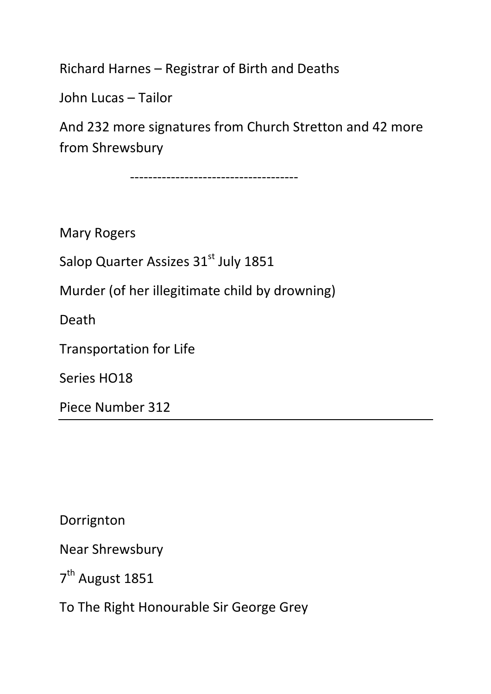Richard Harnes – Registrar of Birth and Deaths

John Lucas – Tailor

And 232 more signatures from Church Stretton and 42 more from Shrewsbury

-------------------------------------

Mary Rogers

Salop Quarter Assizes 31<sup>st</sup> July 1851

Murder (of her illegitimate child by drowning)

Death

Transportation for Life

Series HO18

Piece Number 312

Dorrignton

Near Shrewsbury

7<sup>th</sup> August 1851

To The Right Honourable Sir George Grey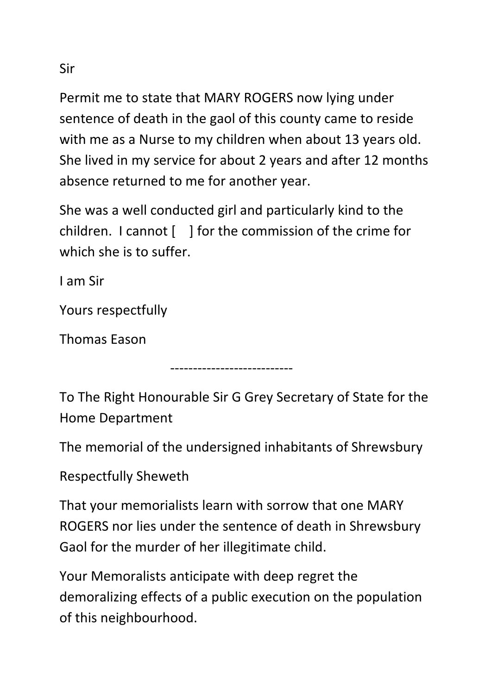Permit me to state that MARY ROGERS now lying under sentence of death in the gaol of this county came to reside with me as a Nurse to my children when about 13 years old. She lived in my service for about 2 years and after 12 months absence returned to me for another year.

She was a well conducted girl and particularly kind to the children. I cannot [ ] for the commission of the crime for which she is to suffer.

I am Sir

Yours respectfully

Thomas Eason

To The Right Honourable Sir G Grey Secretary of State for the Home Department

---------------------------

The memorial of the undersigned inhabitants of Shrewsbury

Respectfully Sheweth

That your memorialists learn with sorrow that one MARY ROGERS nor lies under the sentence of death in Shrewsbury Gaol for the murder of her illegitimate child.

Your Memoralists anticipate with deep regret the demoralizing effects of a public execution on the population of this neighbourhood.

Sir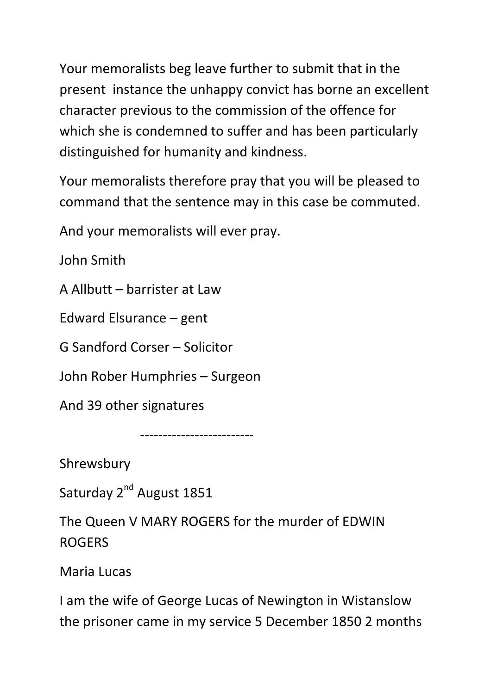Your memoralists beg leave further to submit that in the present instance the unhappy convict has borne an excellent character previous to the commission of the offence for which she is condemned to suffer and has been particularly distinguished for humanity and kindness.

Your memoralists therefore pray that you will be pleased to command that the sentence may in this case be commuted.

And your memoralists will ever pray.

John Smith

A Allbutt – barrister at Law

Edward Elsurance – gent

G Sandford Corser – Solicitor

John Rober Humphries – Surgeon

And 39 other signatures

-------------------------

Shrewsbury

Saturday 2<sup>nd</sup> August 1851

The Queen V MARY ROGERS for the murder of EDWIN ROGERS

Maria Lucas

I am the wife of George Lucas of Newington in Wistanslow the prisoner came in my service 5 December 1850 2 months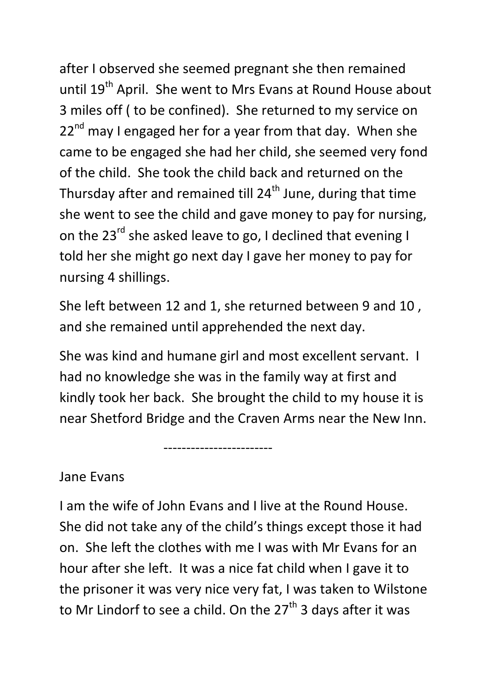after I observed she seemed pregnant she then remained until 19<sup>th</sup> April. She went to Mrs Evans at Round House about 3 miles off ( to be confined). She returned to my service on  $22<sup>nd</sup>$  may I engaged her for a year from that day. When she came to be engaged she had her child, she seemed very fond of the child. She took the child back and returned on the Thursday after and remained till  $24<sup>th</sup>$  June, during that time she went to see the child and gave money to pay for nursing, on the 23<sup>rd</sup> she asked leave to go, I declined that evening I told her she might go next day I gave her money to pay for nursing 4 shillings.

She left between 12 and 1, she returned between 9 and 10 , and she remained until apprehended the next day.

She was kind and humane girl and most excellent servant. I had no knowledge she was in the family way at first and kindly took her back. She brought the child to my house it is near Shetford Bridge and the Craven Arms near the New Inn.

Jane Evans

------------------------

I am the wife of John Evans and I live at the Round House. She did not take any of the child's things except those it had on. She left the clothes with me I was with Mr Evans for an hour after she left. It was a nice fat child when I gave it to the prisoner it was very nice very fat, I was taken to Wilstone to Mr Lindorf to see a child. On the  $27<sup>th</sup>$  3 days after it was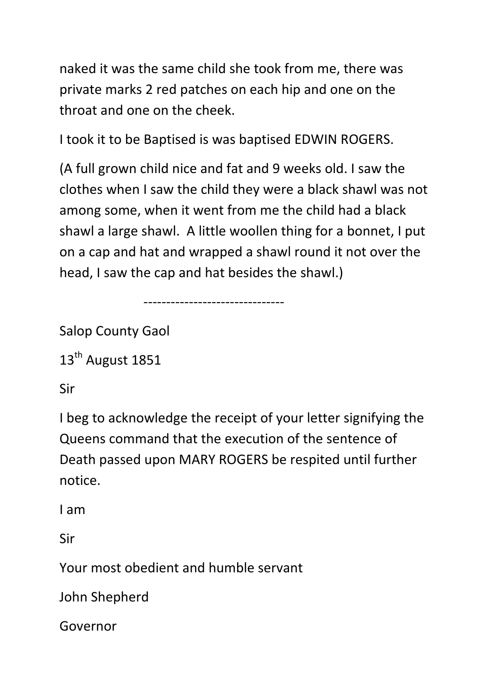naked it was the same child she took from me, there was private marks 2 red patches on each hip and one on the throat and one on the cheek.

I took it to be Baptised is was baptised EDWIN ROGERS.

-------------------------------

(A full grown child nice and fat and 9 weeks old. I saw the clothes when I saw the child they were a black shawl was not among some, when it went from me the child had a black shawl a large shawl. A little woollen thing for a bonnet, I put on a cap and hat and wrapped a shawl round it not over the head, I saw the cap and hat besides the shawl.)

Salop County Gaol

13<sup>th</sup> August 1851

Sir

I beg to acknowledge the receipt of your letter signifying the Queens command that the execution of the sentence of Death passed upon MARY ROGERS be respited until further notice.

I am

Sir

Your most obedient and humble servant

John Shepherd

Governor